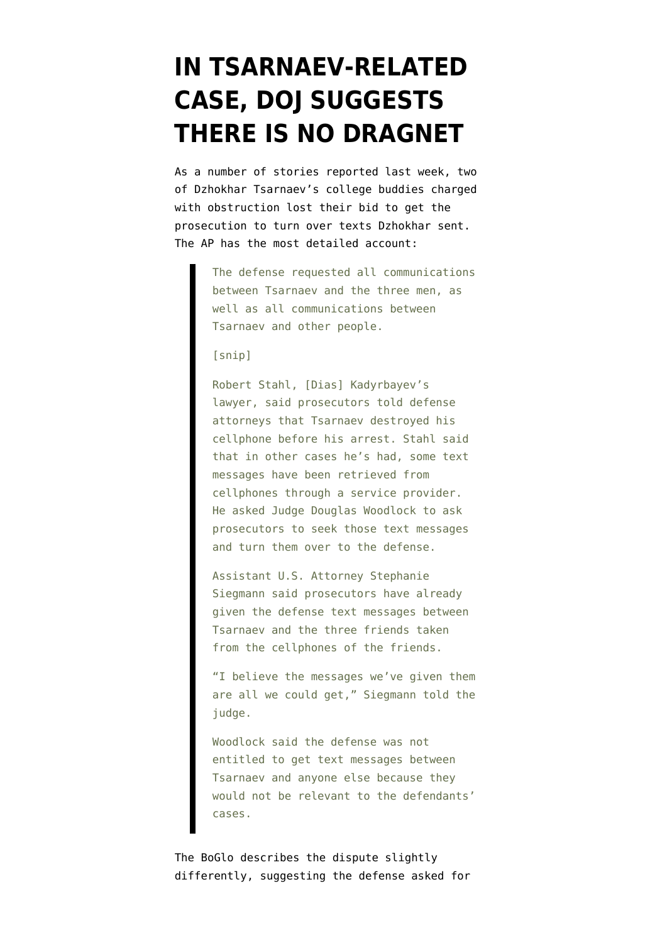## **[IN TSARNAEV-RELATED](https://www.emptywheel.net/2014/03/16/in-tsarnaev-related-case-doj-suggests-there-is-no-dragnet/) [CASE, DOJ SUGGESTS](https://www.emptywheel.net/2014/03/16/in-tsarnaev-related-case-doj-suggests-there-is-no-dragnet/) [THERE IS NO DRAGNET](https://www.emptywheel.net/2014/03/16/in-tsarnaev-related-case-doj-suggests-there-is-no-dragnet/)**

As a number of stories reported last week, two of Dzhokhar Tsarnaev's college buddies charged with obstruction lost their bid to get the prosecution to turn over texts Dzhokhar sent. The AP has [the most detailed account](http://www.burlesonstar.net/nationalnews/ci_25311012):

> The defense requested all communications between Tsarnaev and the three men, as well as all communications between Tsarnaev and other people.

[snip]

Robert Stahl, [Dias] Kadyrbayev's lawyer, said prosecutors told defense attorneys that Tsarnaev destroyed his cellphone before his arrest. Stahl said that in other cases he's had, some text messages have been retrieved from cellphones through a service provider. He asked Judge Douglas Woodlock to ask prosecutors to seek those text messages and turn them over to the defense.

Assistant U.S. Attorney Stephanie Siegmann said prosecutors have already given the defense text messages between Tsarnaev and the three friends taken from the cellphones of the friends.

"I believe the messages we've given them are all we could get," Siegmann told the judge.

Woodlock said the defense was not entitled to get text messages between Tsarnaev and anyone else because they would not be relevant to the defendants' cases.

The [BoGlo](http://www.bostonglobe.com/metro/2014/03/10/mother-khazakistani-man-facing-marathon-related-charges-says-son-confident-justice-system/WIU4JSVdJBLE1Y4GrwuJeJ/story.html) describes the dispute slightly differently, suggesting the defense asked for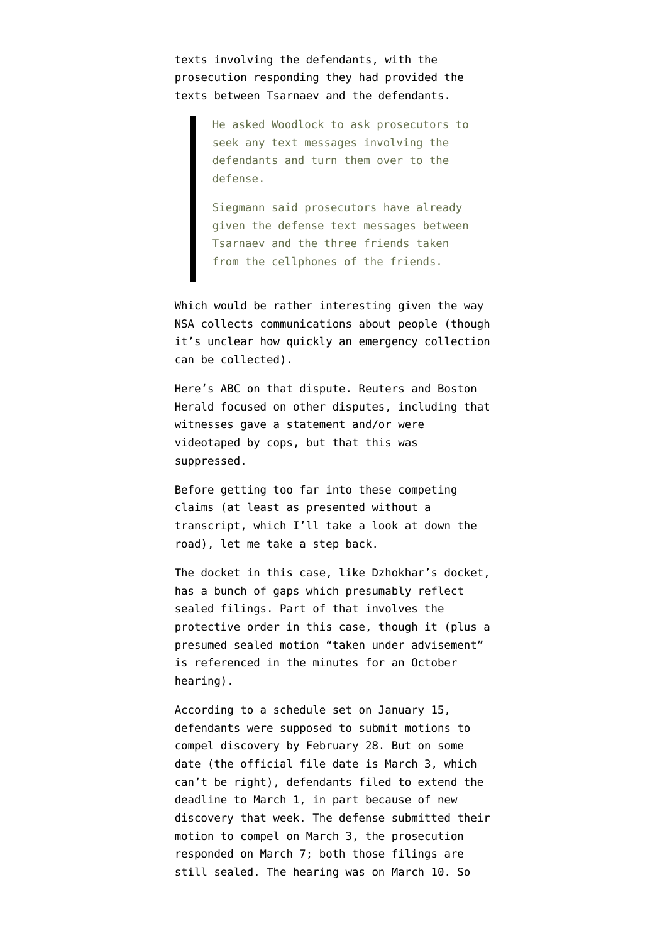texts involving the defendants, with the prosecution responding they had provided the texts between Tsarnaev and the defendants.

> He asked Woodlock to ask prosecutors to seek any text messages involving the defendants and turn them over to the defense.

> Siegmann said prosecutors have already given the defense text messages between Tsarnaev and the three friends taken from the cellphones of the friends.

Which would be rather interesting given the way NSA collects communications about people (though it's unclear how quickly an emergency collection can be collected).

Here's [ABC](http://www.abc6.com/story/24930639/friends-lawyer-says-tsarnaev-destroyed-cellphone) on that dispute. [Reuters](http://www.reuters.com/article/2014/03/10/us-usa-explosions-boston-idUSBREA290CI20140310) and [Boston](http://bostonherald.com/news_opinion/local_coverage/2014/03/judge_takes_prosecutors_to_task_in_tsarnaev_friends_trial) [Herald](http://bostonherald.com/news_opinion/local_coverage/2014/03/judge_takes_prosecutors_to_task_in_tsarnaev_friends_trial) focused on other disputes, including that witnesses gave a statement and/or were videotaped by cops, but that this was suppressed.

Before getting too far into these competing claims (at least as presented without a transcript, which I'll take a look at down the road), let me take a step back.

The docket in this case, like Dzhokhar's docket, has a bunch of gaps which presumably reflect sealed filings. Part of that involves the protective order in this case, though it (plus a presumed sealed motion "taken under advisement" is referenced in the minutes for an October hearing).

According to a schedule set on January 15, defendants were supposed to submit motions to compel discovery by February 28. But on some date (the [official file date is March 3,](http://www.emptywheel.net/wp-content/uploads/2014/03/140303-Kadrybayev-Motion-to-Compel.pdf) which can't be right), defendants filed to extend the deadline to March 1, in part because of new discovery that week. The defense submitted their motion to compel on March 3, the prosecution responded on March 7; both those filings are still sealed. The hearing was on March 10. So